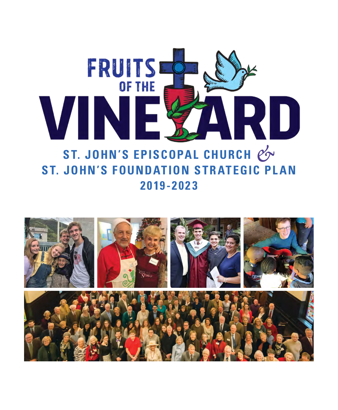

# **ST. JOHN'S EPISCOPAL CHURCH** *&* **ST. JOHN'S FOUNDATION STRATEGIC PLAN 2019-2023**

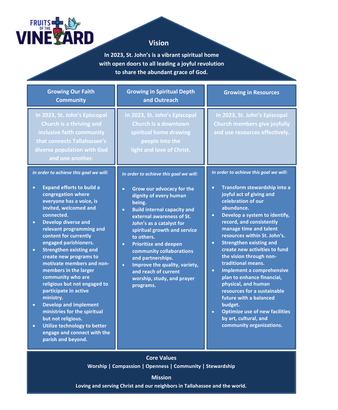

## **Vision**

**In 2023, St. John's is a vibrant spiritual home with open doors to all leading a joyful revolution to share the abundant grace of God.** 

| <b>Growing Our Faith</b><br><b>Community</b>                                                                                                                                                                                                                                                                                                                                                                                                                                                                                                                                                                                                                                                                                             | <b>Growing in Spiritual Depth</b><br>and Outreach                                                                                                                                                                                                                                                                                                                                                                                                                                             | <b>Growing in Resources</b>                                                                                                                                                                                                                                                                                                                                                                                                                                                                                                                                                                                                                                                                      |
|------------------------------------------------------------------------------------------------------------------------------------------------------------------------------------------------------------------------------------------------------------------------------------------------------------------------------------------------------------------------------------------------------------------------------------------------------------------------------------------------------------------------------------------------------------------------------------------------------------------------------------------------------------------------------------------------------------------------------------------|-----------------------------------------------------------------------------------------------------------------------------------------------------------------------------------------------------------------------------------------------------------------------------------------------------------------------------------------------------------------------------------------------------------------------------------------------------------------------------------------------|--------------------------------------------------------------------------------------------------------------------------------------------------------------------------------------------------------------------------------------------------------------------------------------------------------------------------------------------------------------------------------------------------------------------------------------------------------------------------------------------------------------------------------------------------------------------------------------------------------------------------------------------------------------------------------------------------|
| In 2023, St. John's Episcopal<br>Church is a thriving and<br>inclusive faith community<br>that connects Tallahassee's<br>diverse population with God<br>and one another.                                                                                                                                                                                                                                                                                                                                                                                                                                                                                                                                                                 | In 2023, St. John's Episcopal<br>Church is a downtown<br>spiritual home drawing<br>people into the<br>light and love of Christ.                                                                                                                                                                                                                                                                                                                                                               | In 2023, St. John's Episcopal<br><b>Church members give joyfully</b><br>and use resources effectively.                                                                                                                                                                                                                                                                                                                                                                                                                                                                                                                                                                                           |
| In order to achieve this goal we will:<br><b>Expand efforts to build a</b><br>$\bullet$<br>congregation where<br>everyone has a voice, is<br>invited, welcomed and<br>connected.<br><b>Develop diverse and</b><br>$\bullet$<br>relevant programming and<br>content for currently<br>engaged parishioners.<br><b>Strengthen existing and</b><br>$\bullet$<br>create new programs to<br>motivate members and non-<br>members in the larger<br>community who are<br>religious but not engaged to<br>participate in active<br>ministry.<br><b>Develop and implement</b><br>$\bullet$<br>ministries for the spiritual<br>but not religious.<br>Utilize technology to better<br>$\bullet$<br>engage and connect with the<br>parish and beyond. | In order to achieve this goal we will:<br>Grow our advocacy for the<br>$\bullet$<br>dignity of every human<br>being.<br><b>Build internal capacity and</b><br>$\bullet$<br>external awareness of St.<br>John's as a catalyst for<br>spiritual growth and service<br>to others.<br><b>Prioritize and deepen</b><br>$\bullet$<br>community collaborations<br>and partnerships.<br>Improve the quality, variety,<br>$\bullet$<br>and reach of current<br>worship, study, and prayer<br>programs. | In order to achieve this goal we will:<br>Transform stewardship into a<br>$\bullet$<br>joyful act of giving and<br>celebration of our<br>abundance.<br>Develop a system to identify,<br>$\bullet$<br>record, and consistently<br>manage time and talent<br>resources within St. John's.<br><b>Strengthen existing and</b><br>$\bullet$<br>create new activities to fund<br>the vision through non-<br>traditional means.<br><b>Implement a comprehensive</b><br>$\bullet$<br>plan to enhance financial,<br>physical, and human<br>resources for a sustainable<br>future with a balanced<br>budget.<br><b>Optimize use of new facilities</b><br>by art, cultural, and<br>community organizations. |
| <b>Core Values</b>                                                                                                                                                                                                                                                                                                                                                                                                                                                                                                                                                                                                                                                                                                                       |                                                                                                                                                                                                                                                                                                                                                                                                                                                                                               |                                                                                                                                                                                                                                                                                                                                                                                                                                                                                                                                                                                                                                                                                                  |

**Worship | Compassion | Openness | Community | Stewardship**

**Mission**

**Loving and serving Christ and our neighbors in Tallahassee and the world.**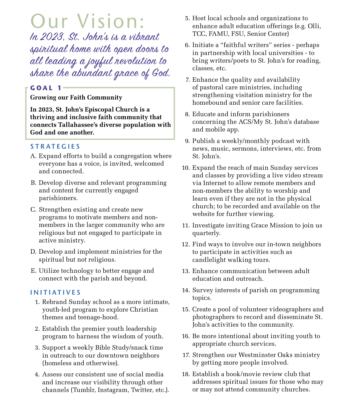Our Vision:

In 2023, St. John's is a vibrant spiritual home with open doors to all leading a joyful revolution to share the abundant grace of God.

#### **GOAL 1**

**Growing our Faith Community**

**In 2023, St. John's Episcopal Church is a thriving and inclusive faith community that connects Tallahassee's diverse population with God and one another.**

#### **STRATEGIES**

- A. Expand efforts to build a congregation where everyone has a voice, is invited, welcomed and connected.
- B. Develop diverse and relevant programming and content for currently engaged parishioners.
- C. Strengthen existing and create new programs to motivate members and nonmembers in the larger community who are religious but not engaged to participate in active ministry.
- D. Develop and implement ministries for the spiritual but not religious.
- E. Utilize technology to better engage and connect with the parish and beyond.

#### **INITIATIVES**

- 1. Rebrand Sunday school as a more intimate, youth-led program to explore Christian themes and teenage-hood.
- 2. Establish the premier youth leadership program to harness the wisdom of youth.
- 3. Support a weekly Bible Study/snack time in outreach to our downtown neighbors (homeless and otherwise).
- 4. Assess our consistent use of social media and increase our visibility through other channels (Tumblr, Instagram, Twitter, etc.).
- 5. Host local schools and organizations to enhance adult education offerings (e.g. Olli, TCC, FAMU, FSU, Senior Center)
- 6. Initiate a "faithful writers" series perhaps in partnership with local universities - to bring writers/poets to St. John's for reading, classes, etc.
- 7. Enhance the quality and availability of pastoral care ministries, including strengthening visitation ministry for the homebound and senior care facilities.
- 8. Educate and inform parishioners concerning the ACS/My St. John's database and mobile app.
- 9. Publish a weekly/monthly podcast with news, music, sermons, interviews, etc. from St. John's.
- 10. Expand the reach of main Sunday services and classes by providing a live video stream via Internet to allow remote members and non-members the ability to worship and learn even if they are not in the physical church; to be recorded and available on the website for further viewing.
- 11. Investigate inviting Grace Mission to join us quarterly.
- 12. Find ways to involve our in-town neighbors to participate in activities such as candlelight walking tours.
- 13. Enhance communication between adult education and outreach.
- 14. Survey interests of parish on programming topics.
- 15. Create a pool of volunteer videographers and photographers to record and disseminate St. John's activities to the community.
- 16. Be more intentional about inviting youth to appropriate church services.
- 17. Strengthen our Westminster Oaks ministry by getting more people involved.
- 18. Establish a book/movie review club that addresses spiritual issues for those who may or may not attend community churches.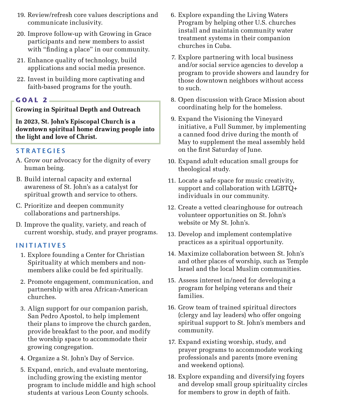- 19. Review/refresh core values descriptions and communicate inclusivity.
- 20. Improve follow-up with Growing in Grace participants and new members to assist with "finding a place" in our community.
- 21. Enhance quality of technology, build applications and social media presence.
- 22. Invest in building more captivating and faith-based programs for the youth.

#### **GOAL 2**

#### **Growing in Spiritual Depth and Outreach**

**In 2023, St. John's Episcopal Church is a downtown spiritual home drawing people into the light and love of Christ.**

#### **STRATEGIES**

- A. Grow our advocacy for the dignity of every human being.
- B. Build internal capacity and external awareness of St. John's as a catalyst for spiritual growth and service to others.
- C. Prioritize and deepen community collaborations and partnerships.
- D. Improve the quality, variety, and reach of current worship, study, and prayer programs.

#### **INITIATIVES**

- 1. Explore founding a Center for Christian Spirituality at which members and nonmembers alike could be fed spiritually.
- 2. Promote engagement, communication, and partnership with area African-American churches.
- 3. Align support for our companion parish, San Pedro Apostol, to help implement their plans to improve the church garden, provide breakfast to the poor, and modify the worship space to accommodate their growing congregation.
- 4. Organize a St. John's Day of Service.
- 5. Expand, enrich, and evaluate mentoring, including growing the existing mentor program to include middle and high school students at various Leon County schools.
- 6. Explore expanding the Living Waters Program by helping other U.S. churches install and maintain community water treatment systems in their companion churches in Cuba.
- 7. Explore partnering with local business and/or social service agencies to develop a program to provide showers and laundry for those downtown neighbors without access to such.
- 8. Open discussion with Grace Mission about coordinating help for the homeless.
- 9. Expand the Visioning the Vineyard initiative, a Full Summer, by implementing a canned food drive during the month of May to supplement the meal assembly held on the first Saturday of June.
- 10. Expand adult education small groups for theological study.
- 11. Locate a safe space for music creativity, support and collaboration with LGBTQ+ individuals in our community.
- 12. Create a vetted clearinghouse for outreach volunteer opportunities on St. John's website or My St. John's.
- 13. Develop and implement contemplative practices as a spiritual opportunity.
- 14. Maximize collaboration between St. John's and other places of worship, such as Temple Israel and the local Muslim communities.
- 15. Assess interest in/need for developing a program for helping veterans and their families.
- 16. Grow team of trained spiritual directors (clergy and lay leaders) who offer ongoing spiritual support to St. John's members and community.
- 17. Expand existing worship, study, and prayer programs to accommodate working professionals and parents (more evening and weekend options).
- 18. Explore expanding and diversifying foyers and develop small group spirituality circles for members to grow in depth of faith.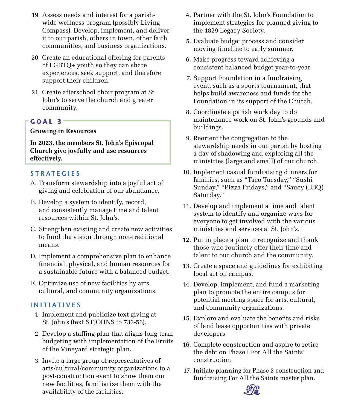- 19. Assess needs and interest for a parishwide wellness program (possibly Living Compass). Develop, implement, and deliver it to our parish, others in town, other faith communities, and business organizations.
- 20. Create an educational offering for parents of LGBTQ+ youth so they can share experiences, seek support, and therefore support their children.
- 21. Create afterschool choir program at St. John's to serve the church and greater community.

## **GOAL 3**

#### **Growing in Resources**

**In 2023, the members St. John's Episcopal Church give joyfully and use resources effectively.**

#### **STRATEGIES**

- A. Transform stewardship into a joyful act of giving and celebration of our abundance.
- B. Develop a system to identify, record, and consistently manage time and talent resources within St. John's.
- C. Strengthen existing and create new activities to fund the vision through non-traditional means.
- D. Implement a comprehensive plan to enhance financial, physical, and human resources for a sustainable future with a balanced budget.
- E. Optimize use of new facilities by arts, cultural, and community organizations.

#### **INITIATIVES**

- 1. Implement and publicize text giving at St. John's (text STJOHNS to 732-56).
- 2. Develop a staffing plan that aligns long-term budgeting with implementation of the Fruits of the Vineyard strategic plan.
- 3. Invite a large group of representatives of arts/cultural/community organizations to a post-construction event to show them our new facilities, familiarize them with the availability of the facilities.
- 4. Partner with the St. John's Foundation to implement strategies for planned giving to the 1829 Legacy Society.
- 5. Evaluate budget process and consider moving timeline to early summer.
- 6. Make progress toward achieving a consistent balanced budget year-to-year.
- 7. Support Foundation in a fundraising event, such as a sports tournament, that helps build awareness and funds for the Foundation in its support of the Church.
- 8. Coordinate a parish work day to do maintenance work on St. John's grounds and buildings.
- 9. Reorient the congregation to the stewardship needs in our parish by hosting a day of shadowing and exploring all the ministries (large and small) of our church.
- 10. Implement casual fundraising dinners for families, such as "Taco Tuesday," "Sushi Sunday," "Pizza Fridays," and "Saucy (BBQ) Saturday."
- 11. Develop and implement a time and talent system to identify and organize ways for everyone to get involved with the various ministries and services at St. John's.
- 12. Put in place a plan to recognize and thank those who routinely offer their time and talent to our church and the community.
- 13. Create a space and guidelines for exhibiting local art on campus.
- 14. Develop, implement, and fund a marketing plan to promote the entire campus for potential meeting space for arts, cultural, and community organizations.
- 15. Explore and evaluate the benefits and risks of land lease opportunities with private developers.
- 16. Complete construction and aspire to retire the debt on Phase I For All the Saints' construction.
- 17. Initiate planning for Phase 2 construction and fundraising For All the Saints master plan.

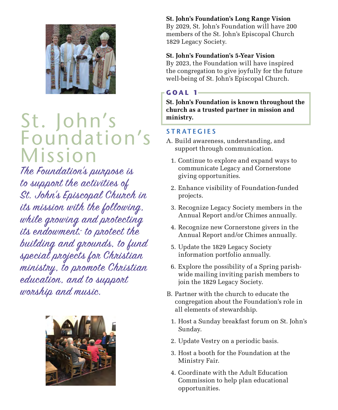

# St. John's Foundation's Mission

The Foundation's purpose is to support the activities of St. John's Episcopal Church in its mission with the following, while growing and protecting its endowment: to protect the building and grounds, to fund special projects for Christian ministry, to promote Christian education, and to support worship and music.



#### **St. John's Foundation's Long Range Vision**

By 2029, St. John's Foundation will have 200 members of the St. John's Episcopal Church 1829 Legacy Society.

#### **St. John's Foundation's 5-Year Vision**

By 2023, the Foundation will have inspired the congregation to give joyfully for the future well-being of St. John's Episcopal Church.

#### **GOAL 1**

**St. John's Foundation is known throughout the church as a trusted partner in mission and ministry.**

#### **STRATEGIES**

- A. Build awareness, understanding, and support through communication.
	- 1. Continue to explore and expand ways to communicate Legacy and Cornerstone giving opportunities.
	- 2. Enhance visibility of Foundation-funded projects.
	- 3. Recognize Legacy Society members in the Annual Report and/or Chimes annually.
	- 4. Recognize new Cornerstone givers in the Annual Report and/or Chimes annually.
	- 5. Update the 1829 Legacy Society information portfolio annually.
	- 6. Explore the possibility of a Spring parishwide mailing inviting parish members to join the 1829 Legacy Society.
- B. Partner with the church to educate the congregation about the Foundation's role in all elements of stewardship.
	- 1. Host a Sunday breakfast forum on St. John's Sunday.
	- 2. Update Vestry on a periodic basis.
	- 3. Host a booth for the Foundation at the Ministry Fair.
	- 4. Coordinate with the Adult Education Commission to help plan educational opportunities.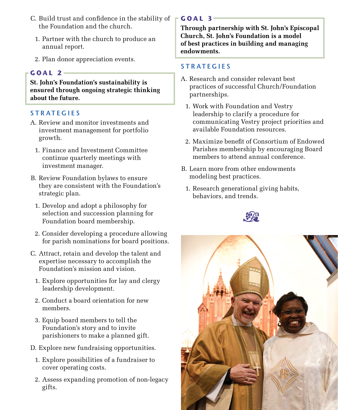- C. Build trust and confidence in the stability of the Foundation and the church.
	- 1. Partner with the church to produce an annual report.
	- 2. Plan donor appreciation events.

# **GOAL 2**

**St. John's Foundation's sustainability is ensured through ongoing strategic thinking about the future.**

# **STRATEGIES**

- A. Review and monitor investments and investment management for portfolio growth.
	- 1. Finance and Investment Committee continue quarterly meetings with investment manager.
- B. Review Foundation bylaws to ensure they are consistent with the Foundation's strategic plan.
	- 1. Develop and adopt a philosophy for selection and succession planning for Foundation board membership.
	- 2. Consider developing a procedure allowing for parish nominations for board positions.
- C. Attract, retain and develop the talent and expertise necessary to accomplish the Foundation's mission and vision.
	- 1. Explore opportunities for lay and clergy leadership development.
	- 2. Conduct a board orientation for new members.
	- 3. Equip board members to tell the Foundation's story and to invite parishioners to make a planned gift.
- D. Explore new fundraising opportunities.
	- 1. Explore possibilities of a fundraiser to cover operating costs.
	- 2. Assess expanding promotion of non-legacy gifts.

# **GOAL 3**

**Through partnership with St. John's Episcopal Church, St. John's Foundation is a model of best practices in building and managing endowments.**

# **STRATEGIES**

- A. Research and consider relevant best practices of successful Church/Foundation partnerships.
	- 1. Work with Foundation and Vestry leadership to clarify a procedure for communicating Vestry project priorities and available Foundation resources.
	- 2. Maximize benefit of Consortium of Endowed Parishes membership by encouraging Board members to attend annual conference.
- B. Learn more from other endowments modeling best practices.
	- 1. Research generational giving habits, behaviors, and trends.